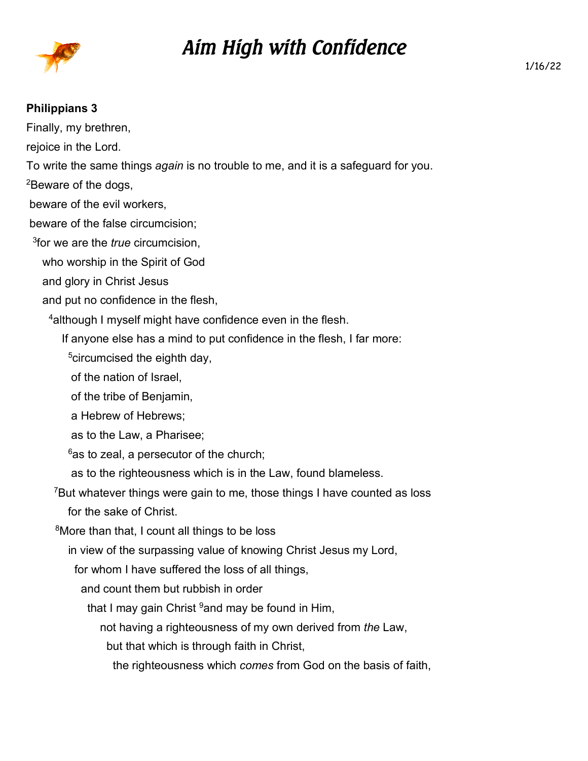

## *Aim High with Confidence*

## **Philippians 3**

Finally, my brethren, rejoice in the Lord. To write the same things *again* is no trouble to me, and it is a safeguard for you. <sup>2</sup>Beware of the dogs, beware of the evil workers, beware of the false circumcision; 3 for we are the *true* circumcision, who worship in the Spirit of God and glory in Christ Jesus and put no confidence in the flesh, <sup>4</sup> although I myself might have confidence even in the flesh. If anyone else has a mind to put confidence in the flesh, I far more:  $5$ circumcised the eighth day, of the nation of Israel, of the tribe of Benjamin, a Hebrew of Hebrews; as to the Law, a Pharisee;  $6$ as to zeal, a persecutor of the church; as to the righteousness which is in the Law, found blameless. <sup>7</sup>But whatever things were gain to me, those things I have counted as loss for the sake of Christ. <sup>8</sup>More than that, I count all things to be loss in view of the surpassing value of knowing Christ Jesus my Lord, for whom I have suffered the loss of all things, and count them but rubbish in order that I may gain Christ  $9$  and may be found in Him, not having a righteousness of my own derived from *the* Law, but that which is through faith in Christ,

the righteousness which *comes* from God on the basis of faith,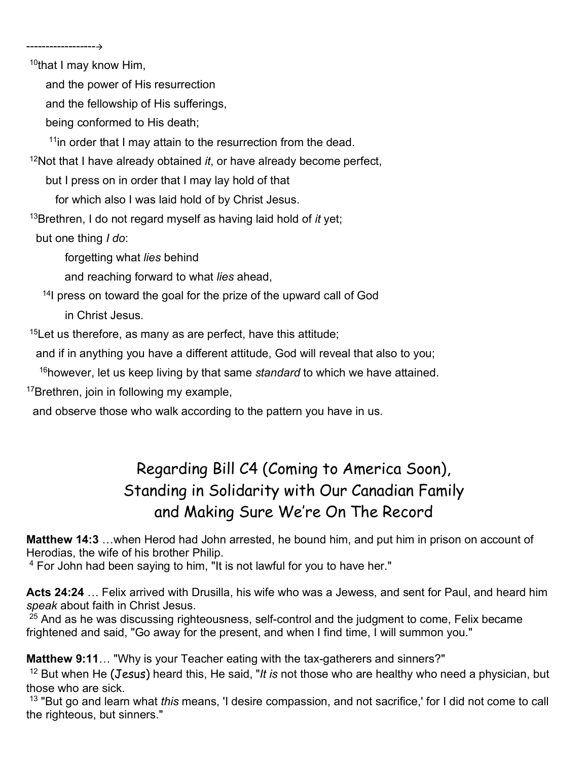<sup>10</sup>that I may know Him,

------------------

and the power of His resurrection

and the fellowship of His sufferings,

being conformed to His death;

 $11$ in order that I may attain to the resurrection from the dead.

<sup>12</sup>Not that I have already obtained *it*, or have already become perfect,

but I press on in order that I may lay hold of that

for which also I was laid hold of by Christ Jesus.

<sup>13</sup>Brethren, I do not regard myself as having laid hold of *it* yet;

but one thing *I do*:

forgetting what *lies* behind

and reaching forward to what *lies* ahead,

<sup>14</sup>I press on toward the goal for the prize of the upward call of God

in Christ Jesus.

 $15$ Let us therefore, as many as are perfect, have this attitude;

and if in anything you have a different attitude, God will reveal that also to you;

<sup>16</sup>however, let us keep living by that same *standard* to which we have attained.

<sup>17</sup>Brethren, join in following my example,

and observe those who walk according to the pattern you have in us.

## Regarding Bill C4 (Coming to America Soon), Standing in Solidarity with Our Canadian Family and Making Sure We're On The Record

**Matthew 14:3** …when Herod had John arrested, he bound him, and put him in prison on account of Herodias, the wife of his brother Philip.

4 For John had been saying to him, "It is not lawful for you to have her."

**Acts 24:24** … Felix arrived with Drusilla, his wife who was a Jewess, and sent for Paul, and heard him *speak* about faith in Christ Jesus.

 $25$  And as he was discussing righteousness, self-control and the judgment to come, Felix became frightened and said, "Go away for the present, and when I find time, I will summon you."

**Matthew 9:11**… "Why is your Teacher eating with the tax-gatherers and sinners?"

<sup>12</sup> But when He (Jesus) heard this, He said, "*It is* not those who are healthy who need a physician, but those who are sick.

<sup>13</sup> "But go and learn what *this* means, 'I desire compassion, and not sacrifice,' for I did not come to call the righteous, but sinners."